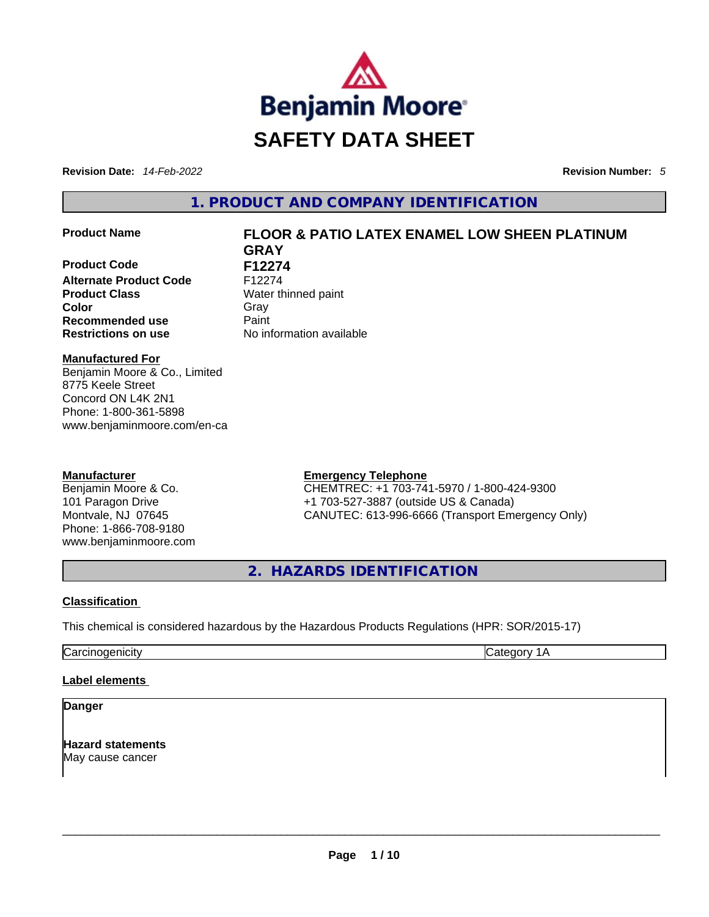

**Revision Date:** *14-Feb-2022* **Revision Number:** *5*

**1. PRODUCT AND COMPANY IDENTIFICATION** 

**Product Code F12274**<br>Alternate Product Code F12274 **Alternate Product Code Product Class Water thinned paint**<br> **Color** Grav **Color** Gray Gray **Recommended use Paint Restrictions on use** No information available

# **Product Name FLOOR & PATIO LATEX ENAMEL LOW SHEEN PLATINUM GRAY**

**Manufactured For**

Benjamin Moore & Co., Limited 8775 Keele Street Concord ON L4K 2N1 Phone: 1-800-361-5898 www.benjaminmoore.com/en-ca

## **Manufacturer**

Benjamin Moore & Co. 101 Paragon Drive Montvale, NJ 07645 Phone: 1-866-708-9180 www.benjaminmoore.com

## **Emergency Telephone**

CHEMTREC: +1 703-741-5970 / 1-800-424-9300 +1 703-527-3887 (outside US & Canada) CANUTEC: 613-996-6666 (Transport Emergency Only)

**2. HAZARDS IDENTIFICATION** 

## **Classification**

This chemical is considered hazardous by the Hazardous Products Regulations (HPR: SOR/2015-17)

Carcinogenicity Carcinogenicity Category 1A

### **Label elements**

## **Danger**

**Hazard statements** May cause cancer \_\_\_\_\_\_\_\_\_\_\_\_\_\_\_\_\_\_\_\_\_\_\_\_\_\_\_\_\_\_\_\_\_\_\_\_\_\_\_\_\_\_\_\_\_\_\_\_\_\_\_\_\_\_\_\_\_\_\_\_\_\_\_\_\_\_\_\_\_\_\_\_\_\_\_\_\_\_\_\_\_\_\_\_\_\_\_\_\_\_\_\_\_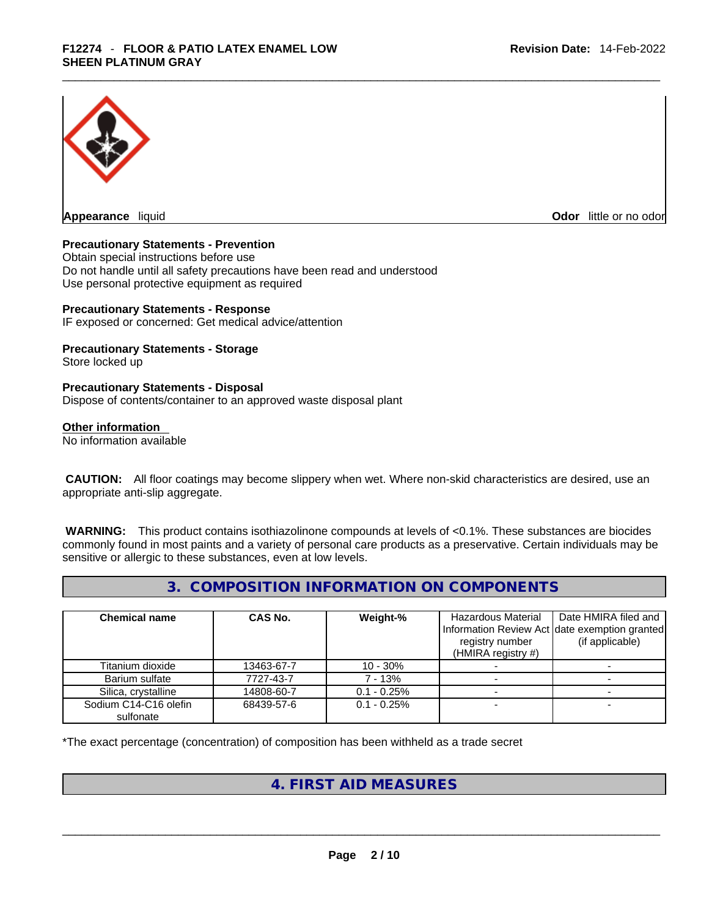

**Appearance** liquid

**Odor** little or no odor

### **Precautionary Statements - Prevention**

Obtain special instructions before use Do not handle until all safety precautions have been read and understood Use personal protective equipment as required

### **Precautionary Statements - Response**

IF exposed or concerned: Get medical advice/attention

# **Precautionary Statements - Storage**

Store locked up

### **Precautionary Statements - Disposal**

Dispose of contents/container to an approved waste disposal plant

### **Other information**

No information available

 **CAUTION:** All floor coatings may become slippery when wet. Where non-skid characteristics are desired, use an appropriate anti-slip aggregate.

 **WARNING:** This product contains isothiazolinone compounds at levels of <0.1%. These substances are biocides commonly found in most paints and a variety of personal care products as a preservative. Certain individuals may be sensitive or allergic to these substances, even at low levels.

## **3. COMPOSITION INFORMATION ON COMPONENTS**

| <b>Chemical name</b>               | CAS No.    | Weight-%      | Hazardous Material<br>registry number<br>(HMIRA registry $#$ ) | Date HMIRA filed and<br>Information Review Act date exemption granted<br>(if applicable) |
|------------------------------------|------------|---------------|----------------------------------------------------------------|------------------------------------------------------------------------------------------|
| Titanium dioxide                   | 13463-67-7 | $10 - 30%$    |                                                                |                                                                                          |
| Barium sulfate                     | 7727-43-7  | 7 - 13%       |                                                                |                                                                                          |
| Silica, crystalline                | 14808-60-7 | $0.1 - 0.25%$ |                                                                |                                                                                          |
| Sodium C14-C16 olefin<br>sulfonate | 68439-57-6 | $0.1 - 0.25%$ |                                                                |                                                                                          |

\*The exact percentage (concentration) of composition has been withheld as a trade secret

## **4. FIRST AID MEASURES**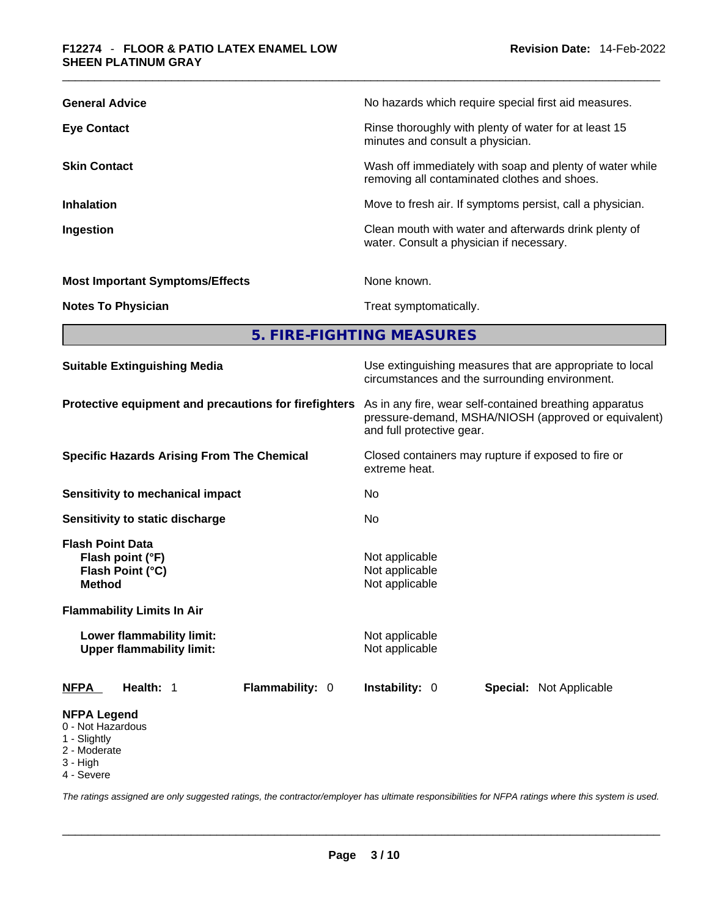## \_\_\_\_\_\_\_\_\_\_\_\_\_\_\_\_\_\_\_\_\_\_\_\_\_\_\_\_\_\_\_\_\_\_\_\_\_\_\_\_\_\_\_\_\_\_\_\_\_\_\_\_\_\_\_\_\_\_\_\_\_\_\_\_\_\_\_\_\_\_\_\_\_\_\_\_\_\_\_\_\_\_\_\_\_\_\_\_\_\_\_\_\_ **F12274** - **FLOOR & PATIO LATEX ENAMEL LOW SHEEN PLATINUM GRAY**

| <b>General Advice</b>                  | No hazards which require special first aid measures.                                                     |
|----------------------------------------|----------------------------------------------------------------------------------------------------------|
| <b>Eye Contact</b>                     | Rinse thoroughly with plenty of water for at least 15<br>minutes and consult a physician.                |
| <b>Skin Contact</b>                    | Wash off immediately with soap and plenty of water while<br>removing all contaminated clothes and shoes. |
| <b>Inhalation</b>                      | Move to fresh air. If symptoms persist, call a physician.                                                |
| Ingestion                              | Clean mouth with water and afterwards drink plenty of<br>water. Consult a physician if necessary.        |
| <b>Most Important Symptoms/Effects</b> | None known.                                                                                              |
| <b>Notes To Physician</b>              | Treat symptomatically.                                                                                   |
|                                        |                                                                                                          |

**5. FIRE-FIGHTING MEASURES** 

| <b>Suitable Extinguishing Media</b>                                                                                                                                                    | Use extinguishing measures that are appropriate to local<br>circumstances and the surrounding environment.<br>As in any fire, wear self-contained breathing apparatus<br>pressure-demand, MSHA/NIOSH (approved or equivalent)<br>and full protective gear. |  |  |  |  |
|----------------------------------------------------------------------------------------------------------------------------------------------------------------------------------------|------------------------------------------------------------------------------------------------------------------------------------------------------------------------------------------------------------------------------------------------------------|--|--|--|--|
| Protective equipment and precautions for firefighters                                                                                                                                  |                                                                                                                                                                                                                                                            |  |  |  |  |
| <b>Specific Hazards Arising From The Chemical</b>                                                                                                                                      | Closed containers may rupture if exposed to fire or<br>extreme heat.                                                                                                                                                                                       |  |  |  |  |
| Sensitivity to mechanical impact                                                                                                                                                       | No.                                                                                                                                                                                                                                                        |  |  |  |  |
| Sensitivity to static discharge                                                                                                                                                        | No                                                                                                                                                                                                                                                         |  |  |  |  |
| <b>Flash Point Data</b><br>Flash point (°F)<br>Flash Point (°C)<br><b>Method</b><br><b>Flammability Limits In Air</b><br>Lower flammability limit:<br><b>Upper flammability limit:</b> | Not applicable<br>Not applicable<br>Not applicable<br>Not applicable<br>Not applicable                                                                                                                                                                     |  |  |  |  |
| Health: 1<br>Flammability: 0<br><b>NFPA</b>                                                                                                                                            | <b>Instability: 0</b><br><b>Special: Not Applicable</b>                                                                                                                                                                                                    |  |  |  |  |
| <b>NFPA Legend</b><br>0 - Not Hazardous<br>1 - Slightly<br>2 - Moderate<br>3 - High                                                                                                    |                                                                                                                                                                                                                                                            |  |  |  |  |

4 - Severe

*The ratings assigned are only suggested ratings, the contractor/employer has ultimate responsibilities for NFPA ratings where this system is used.*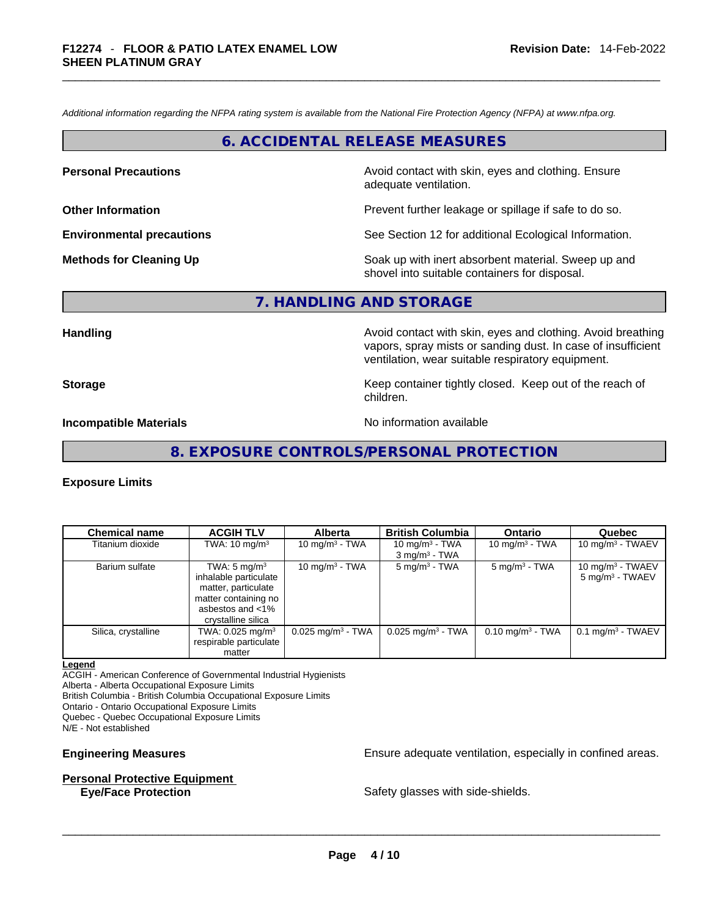*Additional information regarding the NFPA rating system is available from the National Fire Protection Agency (NFPA) at www.nfpa.org.* 

## **6. ACCIDENTAL RELEASE MEASURES**

**Personal Precautions Avoid contact with skin, eyes and clothing. Ensure Personal Precautions** adequate ventilation.

**Other Information Other Information Prevent further leakage or spillage if safe to do so.** 

**Environmental precautions** See Section 12 for additional Ecological Information.

**Methods for Cleaning Up Example 20 All 20 All 20 All 20 Soak** up with inert absorbent material. Sweep up and shovel into suitable containers for disposal.

## **7. HANDLING AND STORAGE**

**Handling Avoid contact with skin, eyes and clothing. Avoid breathing Handling Avoid breathing** vapors, spray mists or sanding dust. In case of insufficient ventilation, wear suitable respiratory equipment.

**Storage Example 2 Keep container tightly closed.** Keep out of the reach of

children.

**Incompatible Materials Materials** No information available

**8. EXPOSURE CONTROLS/PERSONAL PROTECTION** 

#### **Exposure Limits**

| <b>Chemical name</b> | <b>ACGIH TLV</b>               | <b>Alberta</b>                  | <b>British Columbia</b>         | <b>Ontario</b>              | Quebec                          |
|----------------------|--------------------------------|---------------------------------|---------------------------------|-----------------------------|---------------------------------|
| Titanium dioxide     | TWA: $10 \text{ mg/m}^3$       | 10 mg/m $3$ - TWA               | 10 mg/m $3$ - TWA               | 10 mg/m $3$ - TWA           | 10 mg/m $3$ - TWAEV             |
|                      |                                |                                 | $3$ mg/m <sup>3</sup> - TWA     |                             |                                 |
| Barium sulfate       | TWA: $5 \text{ mg/m}^3$        | 10 mg/m $3$ - TWA               | $5 \text{ mg/m}^3$ - TWA        | $5 \text{ mg/m}^3$ - TWA    | 10 mg/m <sup>3</sup> - TWAEV    |
|                      | inhalable particulate          |                                 |                                 |                             | $5 \text{ mg/m}^3$ - TWAEV      |
|                      | matter, particulate            |                                 |                                 |                             |                                 |
|                      | matter containing no           |                                 |                                 |                             |                                 |
|                      | asbestos and <1%               |                                 |                                 |                             |                                 |
|                      | crystalline silica             |                                 |                                 |                             |                                 |
| Silica, crystalline  | TWA: $0.025$ mg/m <sup>3</sup> | $0.025$ mg/m <sup>3</sup> - TWA | $0.025$ mg/m <sup>3</sup> - TWA | $0.10 \text{ mg/m}^3$ - TWA | $0.1$ mg/m <sup>3</sup> - TWAEV |
|                      | respirable particulate         |                                 |                                 |                             |                                 |
|                      | matter                         |                                 |                                 |                             |                                 |

#### **Legend**

ACGIH - American Conference of Governmental Industrial Hygienists

Alberta - Alberta Occupational Exposure Limits

British Columbia - British Columbia Occupational Exposure Limits

Ontario - Ontario Occupational Exposure Limits

Quebec - Quebec Occupational Exposure Limits

N/E - Not established

#### **Personal Protective Equipment**

**Engineering Measures Ensure 2018** Ensure adequate ventilation, especially in confined areas.

**Eye/Face Protection** Safety glasses with side-shields. \_\_\_\_\_\_\_\_\_\_\_\_\_\_\_\_\_\_\_\_\_\_\_\_\_\_\_\_\_\_\_\_\_\_\_\_\_\_\_\_\_\_\_\_\_\_\_\_\_\_\_\_\_\_\_\_\_\_\_\_\_\_\_\_\_\_\_\_\_\_\_\_\_\_\_\_\_\_\_\_\_\_\_\_\_\_\_\_\_\_\_\_\_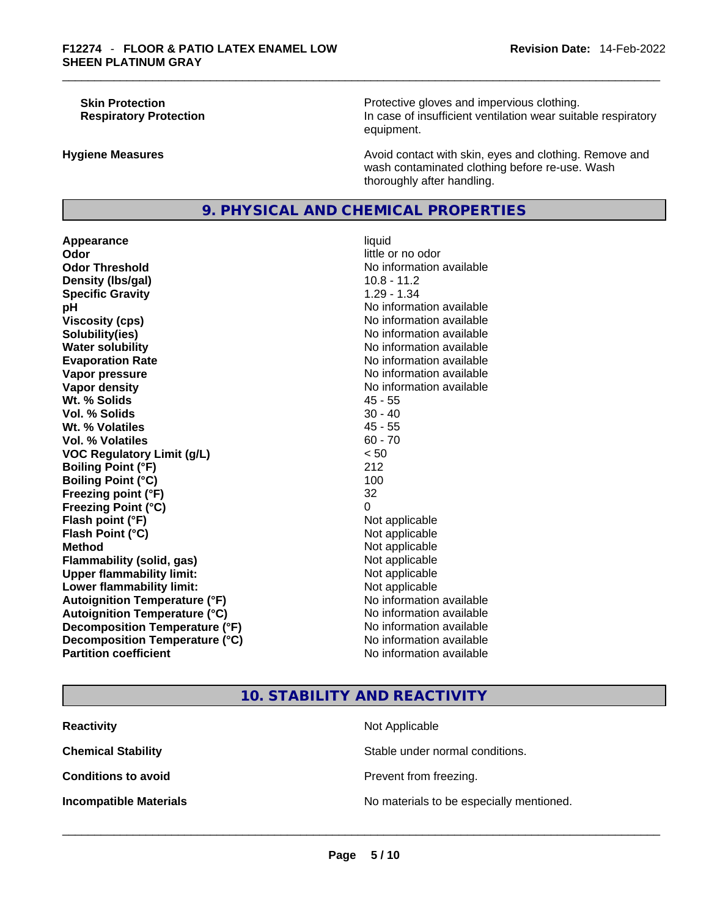**Skin Protection Protection Protective gloves and impervious clothing. Respiratory Protection In case of insufficient ventilation wear suitable respiratory** equipment.

**Hygiene Measures Avoid contact with skin, eyes and clothing. Remove and Avoid contact with skin, eyes and clothing. Remove and** wash contaminated clothing before re-use. Wash thoroughly after handling.

## **9. PHYSICAL AND CHEMICAL PROPERTIES**

**Appearance** liquid **Odor Odor Odor Odor Odor Odor** *little or no odor little or no odor* **Odor Threshold** No information available **Density (lbs/gal)** 10.8 - 11.2 **Specific Gravity** 1.29 - 1.34 **pH pH** *No* information available **Viscosity (cps) No information available No** information available **Solubility(ies)** No information available in the solution of the solution of the solution available in the solution of the solution of the solution of the solution of the solution of the solution of the solution of the so **Water solubility No information available No information available Evaporation Rate No information available No information available Vapor pressure No information available No information available Vapor density No information available No information available Wt. % Solids** 45 - 55 **Vol. % Solids** 30 - 40 **Wt. % Volatiles Vol. % Volatiles** 60 - 70 **VOC Regulatory Limit (g/L)** < 50 **Boiling Point (°F)** 212 **Boiling Point (°C)** 100 **Freezing point (°F)** 32 **Freezing Point (°C)** 0 **Flash point (°F)** Not applicable **Flash Point (°C)** Not applicable **Method**<br> **Plammability (solid, gas)**<br> **Commability (solid, gas)**<br> **Not** applicable **Flammability (solid, gas)** Not applicable Not applicable<br>
Upper flammability limit: Not applicable **Upper flammability limit:**<br> **Lower flammability limit:**<br>
Not applicable<br>
Not applicable **Lower flammability limit:**<br> **Autoignition Temperature (°F)** Not applicable Not applicable in the Muslim Muslim Available **Autoignition Temperature (°F)**<br> **Autoignition Temperature (°C)** No information available **Autoignition Temperature (°C) Decomposition Temperature (°F)** No information available **Decomposition Temperature (°C)** No information available **Partition coefficient** No information available

## **10. STABILITY AND REACTIVITY**

| <b>Reactivity</b>             | Not Applicable                           |
|-------------------------------|------------------------------------------|
| <b>Chemical Stability</b>     | Stable under normal conditions.          |
| <b>Conditions to avoid</b>    | Prevent from freezing.                   |
| <b>Incompatible Materials</b> | No materials to be especially mentioned. |
|                               |                                          |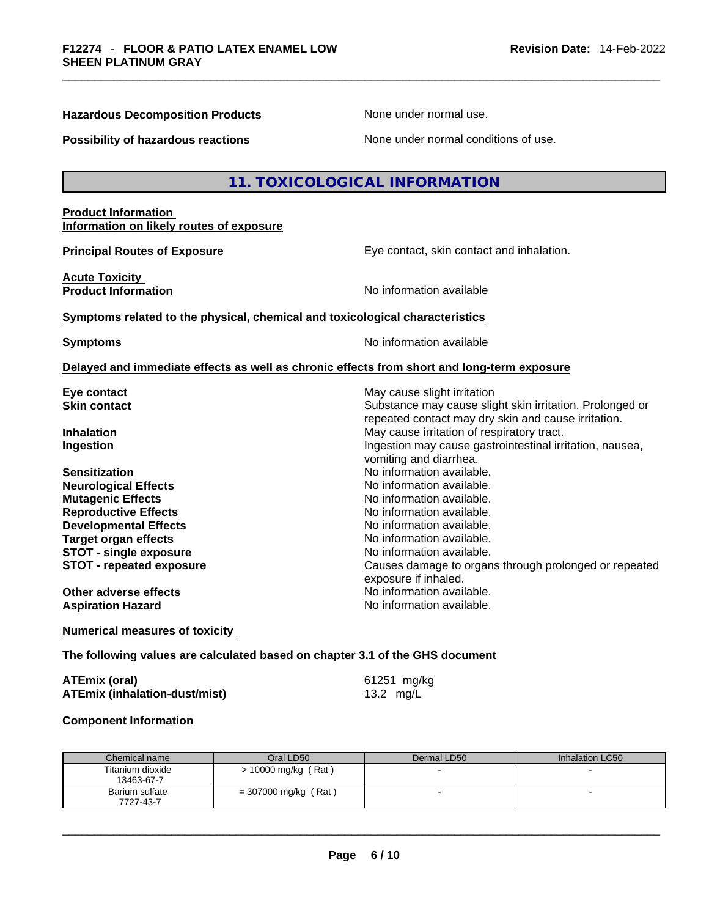**Hazardous Decomposition Products** None under normal use.

| <b>Possibility of hazardous reactions</b>                                                                                       | None under normal conditions of use.                                                                                                           |
|---------------------------------------------------------------------------------------------------------------------------------|------------------------------------------------------------------------------------------------------------------------------------------------|
|                                                                                                                                 | 11. TOXICOLOGICAL INFORMATION                                                                                                                  |
| <b>Product Information</b><br>Information on likely routes of exposure                                                          |                                                                                                                                                |
| <b>Principal Routes of Exposure</b>                                                                                             | Eye contact, skin contact and inhalation.                                                                                                      |
| <b>Acute Toxicity</b><br><b>Product Information</b>                                                                             | No information available                                                                                                                       |
| Symptoms related to the physical, chemical and toxicological characteristics                                                    |                                                                                                                                                |
| <b>Symptoms</b>                                                                                                                 | No information available                                                                                                                       |
|                                                                                                                                 | Delayed and immediate effects as well as chronic effects from short and long-term exposure                                                     |
| Eye contact<br><b>Skin contact</b>                                                                                              | May cause slight irritation<br>Substance may cause slight skin irritation. Prolonged or<br>repeated contact may dry skin and cause irritation. |
| <b>Inhalation</b><br>Ingestion                                                                                                  | May cause irritation of respiratory tract.<br>Ingestion may cause gastrointestinal irritation, nausea,<br>vomiting and diarrhea.               |
| <b>Sensitization</b><br><b>Neurological Effects</b><br><b>Mutagenic Effects</b><br><b>Reproductive Effects</b>                  | No information available.<br>No information available.<br>No information available.<br>No information available.                               |
| <b>Developmental Effects</b><br><b>Target organ effects</b><br><b>STOT - single exposure</b><br><b>STOT - repeated exposure</b> | No information available.<br>No information available.<br>No information available.<br>Causes damage to organs through prolonged or repeated   |
| Other adverse effects<br><b>Aspiration Hazard</b>                                                                               | exposure if inhaled.<br>No information available.<br>No information available.                                                                 |
| <b>Numerical measures of toxicity</b>                                                                                           |                                                                                                                                                |
| The following values are calculated based on chapter 3.1 of the GHS document                                                    |                                                                                                                                                |
| <b>ATEmix (oral)</b><br><b>ATEmix (inhalation-dust/mist)</b>                                                                    | 61251 mg/kg<br>13.2 mg/L                                                                                                                       |

| <b>Component Information</b> |  |
|------------------------------|--|
|                              |  |

| Chemical name                  | Oral LD50              | Dermal LD50 | Inhalation LC50 |
|--------------------------------|------------------------|-------------|-----------------|
| Titanium dioxide<br>13463-67-7 | $> 10000$ mg/kg (Rat)  |             |                 |
| Barium sulfate<br>7727-43-7    | $= 307000$ mg/kg (Rat) |             |                 |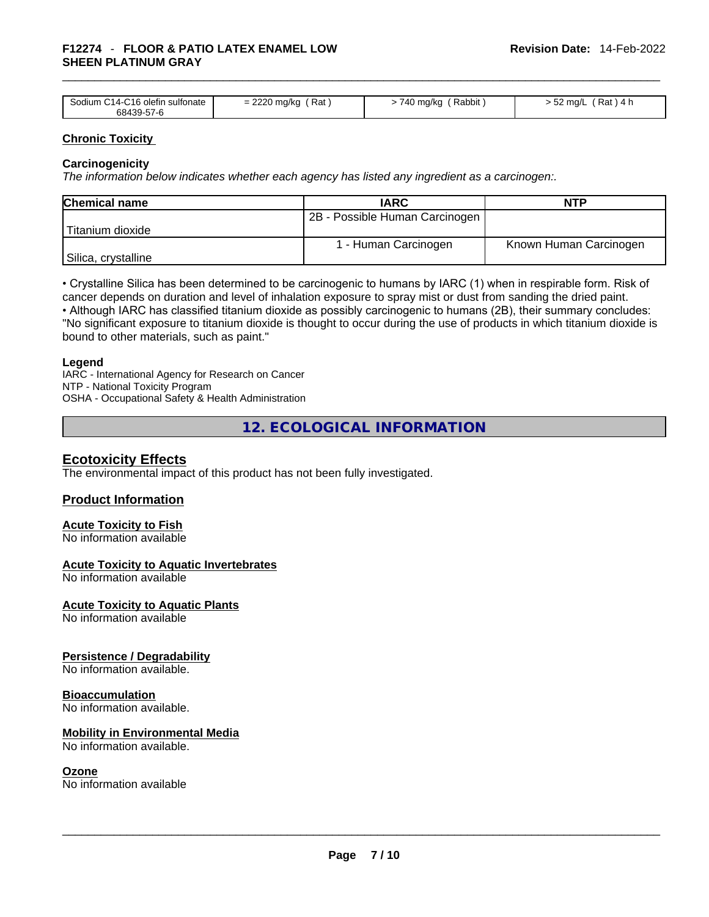## \_\_\_\_\_\_\_\_\_\_\_\_\_\_\_\_\_\_\_\_\_\_\_\_\_\_\_\_\_\_\_\_\_\_\_\_\_\_\_\_\_\_\_\_\_\_\_\_\_\_\_\_\_\_\_\_\_\_\_\_\_\_\_\_\_\_\_\_\_\_\_\_\_\_\_\_\_\_\_\_\_\_\_\_\_\_\_\_\_\_\_\_\_ **F12274** - **FLOOR & PATIO LATEX ENAMEL LOW SHEEN PLATINUM GRAY**

| Sodium C14-C16 olefin sulfonate | Rat            | Rabbit        | ′ Rat ) 4 h        |
|---------------------------------|----------------|---------------|--------------------|
| 68439-57-6                      | $= 2220$ mg/kg | - 740 mg/kg ′ | $-52 \text{ mq/L}$ |

### **Chronic Toxicity**

### **Carcinogenicity**

*The information below indicates whether each agency has listed any ingredient as a carcinogen:.* 

| <b>Chemical name</b> | <b>IARC</b>                    | <b>NTP</b>             |
|----------------------|--------------------------------|------------------------|
|                      | 2B - Possible Human Carcinogen |                        |
| Titanium dioxide     |                                |                        |
|                      | 1 - Human Carcinogen           | Known Human Carcinogen |
| Silica, crystalline  |                                |                        |

• Crystalline Silica has been determined to be carcinogenic to humans by IARC (1) when in respirable form. Risk of cancer depends on duration and level of inhalation exposure to spray mist or dust from sanding the dried paint.

• Although IARC has classified titanium dioxide as possibly carcinogenic to humans (2B), their summary concludes: "No significant exposure to titanium dioxide is thought to occur during the use of products in which titanium dioxide is bound to other materials, such as paint."

### **Legend**

IARC - International Agency for Research on Cancer NTP - National Toxicity Program OSHA - Occupational Safety & Health Administration

**12. ECOLOGICAL INFORMATION** 

## **Ecotoxicity Effects**

The environmental impact of this product has not been fully investigated.

## **Product Information**

## **Acute Toxicity to Fish**

No information available

### **Acute Toxicity to Aquatic Invertebrates**

No information available

**Acute Toxicity to Aquatic Plants**

No information available

### **Persistence / Degradability**

No information available.

### **Bioaccumulation**

No information available.

### **Mobility in Environmental Media**

No information available.

**Ozone**<br>No information available No information available \_\_\_\_\_\_\_\_\_\_\_\_\_\_\_\_\_\_\_\_\_\_\_\_\_\_\_\_\_\_\_\_\_\_\_\_\_\_\_\_\_\_\_\_\_\_\_\_\_\_\_\_\_\_\_\_\_\_\_\_\_\_\_\_\_\_\_\_\_\_\_\_\_\_\_\_\_\_\_\_\_\_\_\_\_\_\_\_\_\_\_\_\_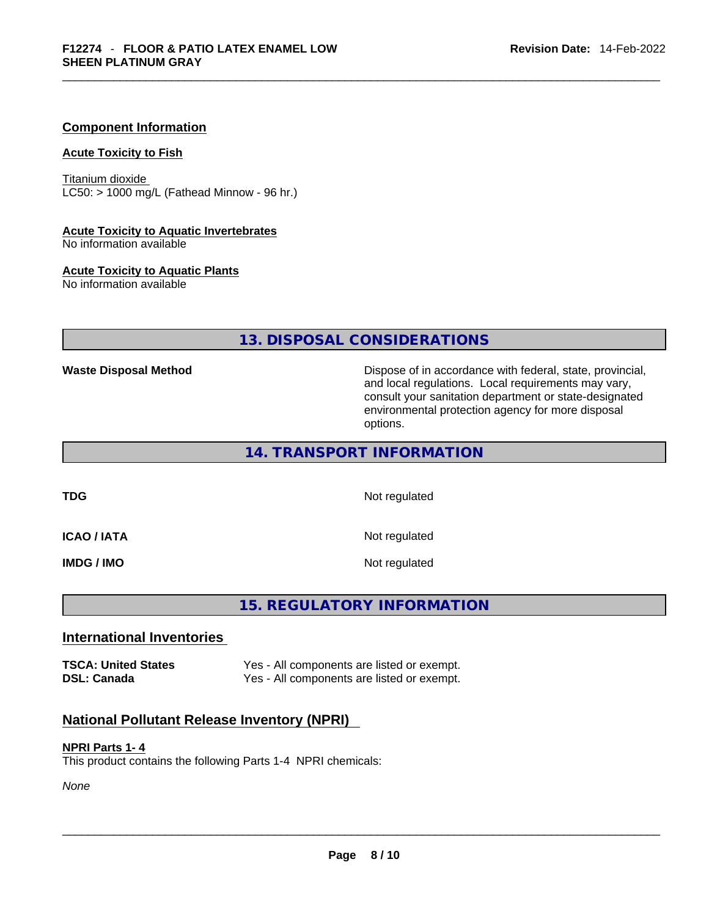## **Component Information**

#### **Acute Toxicity to Fish**

Titanium dioxide  $LC50:$  > 1000 mg/L (Fathead Minnow - 96 hr.)

#### **Acute Toxicity to Aquatic Invertebrates**

No information available

#### **Acute Toxicity to Aquatic Plants**

No information available

## **13. DISPOSAL CONSIDERATIONS**

**Waste Disposal Method** Dispose of in accordance with federal, state, provincial, and local regulations. Local requirements may vary, consult your sanitation department or state-designated environmental protection agency for more disposal options.

**14. TRANSPORT INFORMATION** 

**TDG** Not regulated

**ICAO / IATA** Not regulated

**IMDG / IMO** Not regulated

## **15. REGULATORY INFORMATION**

## **International Inventories**

**TSCA: United States** Yes - All components are listed or exempt. **DSL: Canada** Yes - All components are listed or exempt.

## **National Pollutant Release Inventory (NPRI)**

#### **NPRI Parts 1- 4**

This product contains the following Parts 1-4 NPRI chemicals:

*None*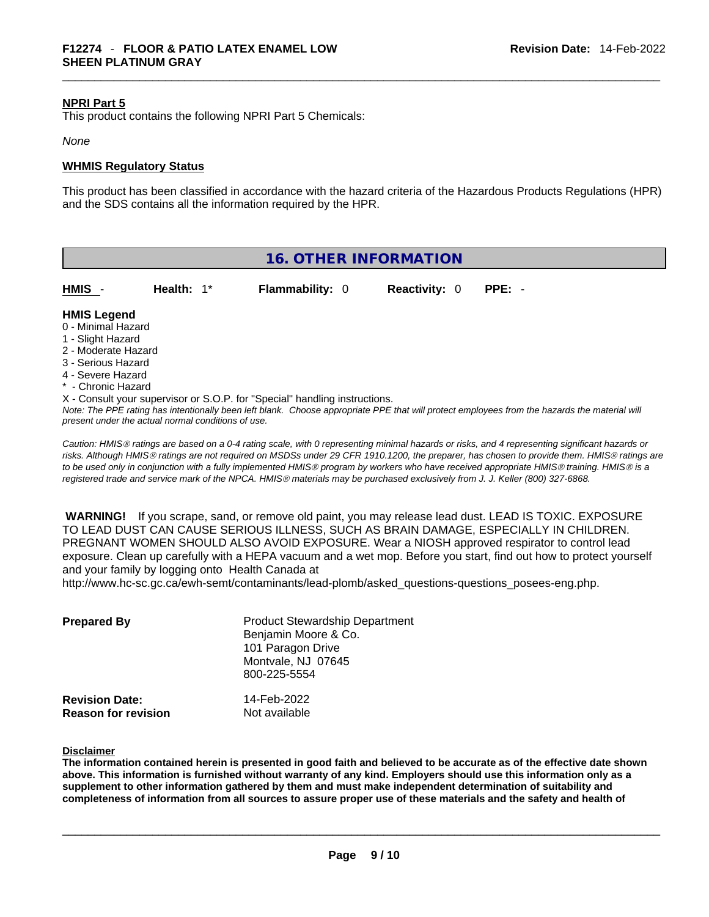### **NPRI Part 5**

This product contains the following NPRI Part 5 Chemicals:

#### *None*

#### **WHMIS Regulatory Status**

This product has been classified in accordance with the hazard criteria of the Hazardous Products Regulations (HPR) and the SDS contains all the information required by the HPR.

| <b>16. OTHER INFORMATION</b> |  |
|------------------------------|--|
|------------------------------|--|

| HMIS                                     | Health: $1^*$ | <b>Flammability: 0</b> | <b>Reactivity: 0</b> | PPE: - |  |
|------------------------------------------|---------------|------------------------|----------------------|--------|--|
| <b>HMIS Legend</b><br>0 - Minimal Hazard |               |                        |                      |        |  |

- 
- 1 Slight Hazard
- 2 Moderate Hazard
- 3 Serious Hazard
- 4 Severe Hazard
- **Chronic Hazard**

X - Consult your supervisor or S.O.P. for "Special" handling instructions.

Note: The PPE rating has intentionally been left blank. Choose appropriate PPE that will protect employees from the hazards the material will *present under the actual normal conditions of use.* 

*Caution: HMISÒ ratings are based on a 0-4 rating scale, with 0 representing minimal hazards or risks, and 4 representing significant hazards or risks. Although HMISÒ ratings are not required on MSDSs under 29 CFR 1910.1200, the preparer, has chosen to provide them. HMISÒ ratings are to be used only in conjunction with a fully implemented HMISÒ program by workers who have received appropriate HMISÒ training. HMISÒ is a registered trade and service mark of the NPCA. HMISÒ materials may be purchased exclusively from J. J. Keller (800) 327-6868.* 

 **WARNING!** If you scrape, sand, or remove old paint, you may release lead dust. LEAD IS TOXIC. EXPOSURE TO LEAD DUST CAN CAUSE SERIOUS ILLNESS, SUCH AS BRAIN DAMAGE, ESPECIALLY IN CHILDREN. PREGNANT WOMEN SHOULD ALSO AVOID EXPOSURE.Wear a NIOSH approved respirator to control lead exposure. Clean up carefully with a HEPA vacuum and a wet mop. Before you start, find out how to protect yourself and your family by logging onto Health Canada at

http://www.hc-sc.gc.ca/ewh-semt/contaminants/lead-plomb/asked\_questions-questions\_posees-eng.php.

| <b>Prepared By</b>                                  | <b>Product Stewardship Department</b><br>Benjamin Moore & Co.<br>101 Paragon Drive<br>Montvale, NJ 07645<br>800-225-5554 |  |
|-----------------------------------------------------|--------------------------------------------------------------------------------------------------------------------------|--|
| <b>Revision Date:</b><br><b>Reason for revision</b> | 14-Feb-2022<br>Not available                                                                                             |  |

#### **Disclaimer**

The information contained herein is presented in good faith and believed to be accurate as of the effective date shown above. This information is furnished without warranty of any kind. Employers should use this information only as a **supplement to other information gathered by them and must make independent determination of suitability and** completeness of information from all sources to assure proper use of these materials and the safety and health of